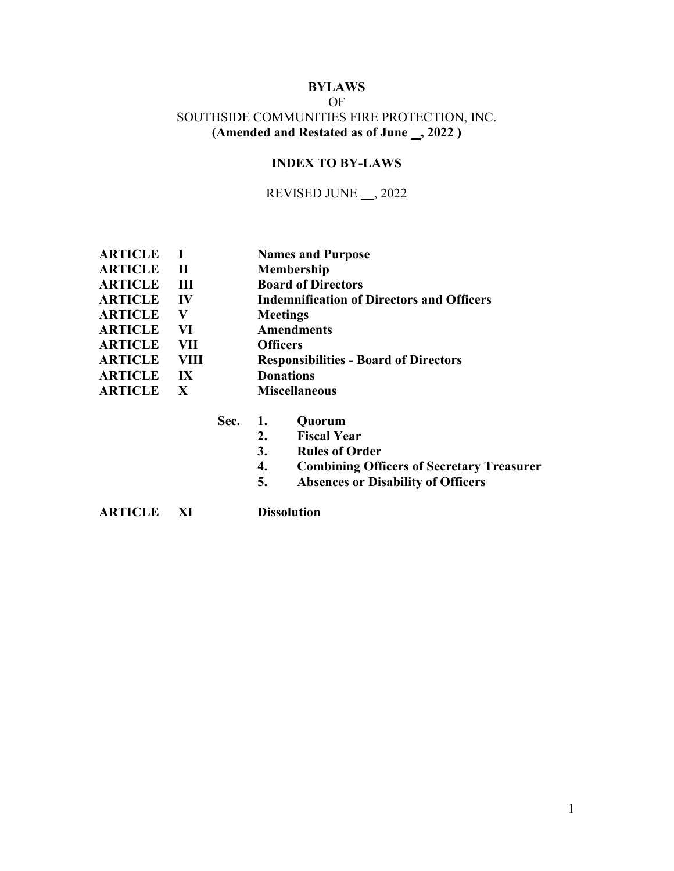# **BYLAWS**  OF SOUTHSIDE COMMUNITIES FIRE PROTECTION, INC. (Amended and Restated as of June \_, 2022 )

# **INDEX TO BY-LAWS**

# REVISED JUNE \_\_ ,2022

| <b>ARTICLE</b> |                         | <b>Names and Purpose</b>                         |
|----------------|-------------------------|--------------------------------------------------|
| <b>ARTICLE</b> | $\mathbf{I}$            | <b>Membership</b>                                |
| <b>ARTICLE</b> | Ш                       | <b>Board of Directors</b>                        |
| <b>ARTICLE</b> | IV                      | <b>Indemnification of Directors and Officers</b> |
| <b>ARTICLE</b> | V                       | <b>Meetings</b>                                  |
| <b>ARTICLE</b> | VI                      | <b>Amendments</b>                                |
| <b>ARTICLE</b> | <b>VII</b>              | <b>Officers</b>                                  |
| <b>ARTICLE</b> | VIII                    | <b>Responsibilities - Board of Directors</b>     |
| <b>ARTICLE</b> | $\mathbf{I} \mathbf{X}$ | <b>Donations</b>                                 |
| <b>ARTICLE</b> | $\mathbf{X}$            | <b>Miscellaneous</b>                             |
|                |                         |                                                  |

| Sec. | ., | Quorum |
|------|----|--------|
|------|----|--------|

- **2. Fiscal Year**
- **3. Rules of Order**
- **4. Combining Officers of Secretary Treasurer**
- **5. Absences or Disability of Officers**

**ARTICLE XI Dissolution**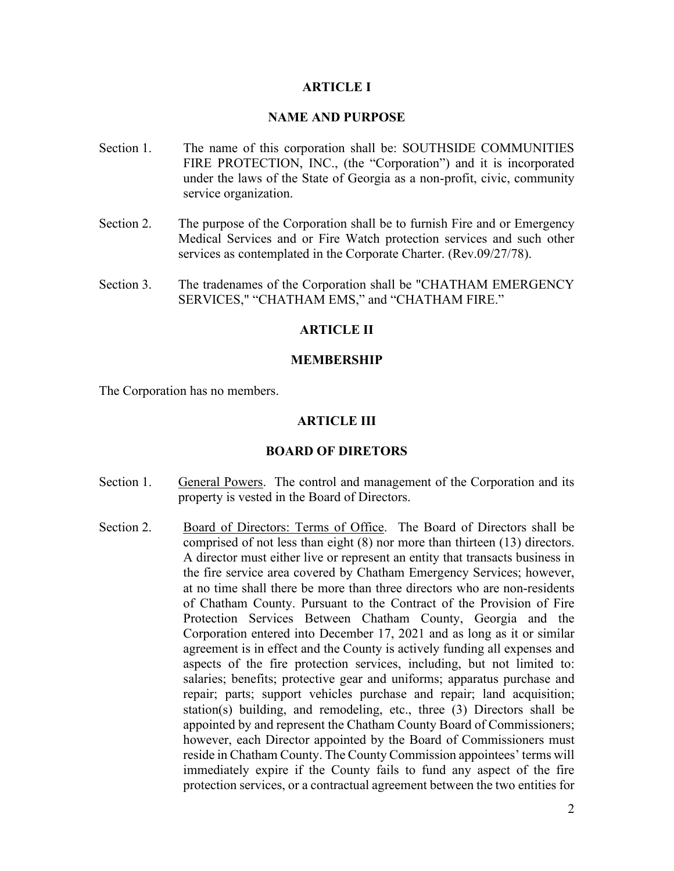### **ARTICLE I**

### **NAME AND PURPOSE**

- Section 1. The name of this corporation shall be: SOUTHSIDE COMMUNITIES FIRE PROTECTION, INC., (the "Corporation") and it is incorporated under the laws of the State of Georgia as a non-profit, civic, community service organization.
- Section 2. The purpose of the Corporation shall be to furnish Fire and or Emergency Medical Services and or Fire Watch protection services and such other services as contemplated in the Corporate Charter. (Rev.09/27/78).
- Section 3. The tradenames of the Corporation shall be "CHATHAM EMERGENCY SERVICES," "CHATHAM EMS," and "CHATHAM FIRE."

### **ARTICLE II**

#### **MEMBERSHIP**

The Corporation has no members.

#### **ARTICLE III**

#### **BOARD OF DIRETORS**

- Section 1. General Powers. The control and management of the Corporation and its property is vested in the Board of Directors.
- Section 2. Board of Directors: Terms of Office. The Board of Directors shall be comprised of not less than eight (8) nor more than thirteen (13) directors. A director must either live or represent an entity that transacts business in the fire service area covered by Chatham Emergency Services; however, at no time shall there be more than three directors who are non-residents of Chatham County. Pursuant to the Contract of the Provision of Fire Protection Services Between Chatham County, Georgia and the Corporation entered into December 17, 2021 and as long as it or similar agreement is in effect and the County is actively funding all expenses and aspects of the fire protection services, including, but not limited to: salaries; benefits; protective gear and uniforms; apparatus purchase and repair; parts; support vehicles purchase and repair; land acquisition; station(s) building, and remodeling, etc., three (3) Directors shall be appointed by and represent the Chatham County Board of Commissioners; however, each Director appointed by the Board of Commissioners must reside in Chatham County. The County Commission appointees' terms will immediately expire if the County fails to fund any aspect of the fire protection services, or a contractual agreement between the two entities for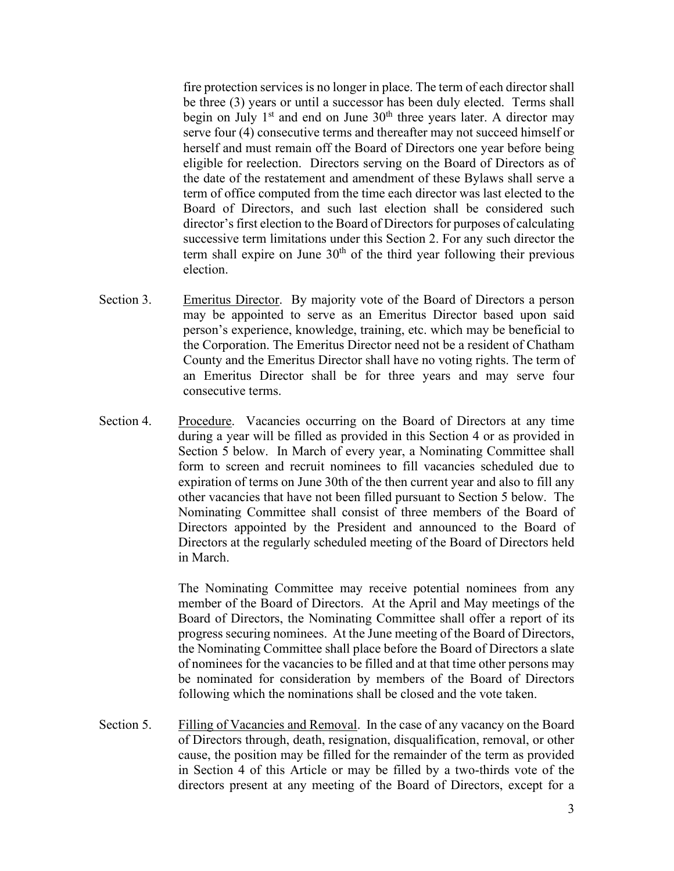fire protection services is no longer in place. The term of each director shall be three (3) years or until a successor has been duly elected. Terms shall begin on July  $1<sup>st</sup>$  and end on June  $30<sup>th</sup>$  three years later. A director may serve four (4) consecutive terms and thereafter may not succeed himself or herself and must remain off the Board of Directors one year before being eligible for reelection. Directors serving on the Board of Directors as of the date of the restatement and amendment of these Bylaws shall serve a term of office computed from the time each director was last elected to the Board of Directors, and such last election shall be considered such director's first election to the Board of Directors for purposes of calculating successive term limitations under this Section 2. For any such director the term shall expire on June  $30<sup>th</sup>$  of the third year following their previous election.

- Section 3. Emeritus Director. By majority vote of the Board of Directors a person may be appointed to serve as an Emeritus Director based upon said person's experience, knowledge, training, etc. which may be beneficial to the Corporation. The Emeritus Director need not be a resident of Chatham County and the Emeritus Director shall have no voting rights. The term of an Emeritus Director shall be for three years and may serve four consecutive terms.
- Section 4. Procedure. Vacancies occurring on the Board of Directors at any time during a year will be filled as provided in this Section 4 or as provided in Section 5 below. In March of every year, a Nominating Committee shall form to screen and recruit nominees to fill vacancies scheduled due to expiration of terms on June 30th of the then current year and also to fill any other vacancies that have not been filled pursuant to Section 5 below. The Nominating Committee shall consist of three members of the Board of Directors appointed by the President and announced to the Board of Directors at the regularly scheduled meeting of the Board of Directors held in March.

The Nominating Committee may receive potential nominees from any member of the Board of Directors. At the April and May meetings of the Board of Directors, the Nominating Committee shall offer a report of its progress securing nominees. At the June meeting of the Board of Directors, the Nominating Committee shall place before the Board of Directors a slate of nominees for the vacancies to be filled and at that time other persons may be nominated for consideration by members of the Board of Directors following which the nominations shall be closed and the vote taken.

Section 5. Filling of Vacancies and Removal. In the case of any vacancy on the Board of Directors through, death, resignation, disqualification, removal, or other cause, the position may be filled for the remainder of the term as provided in Section 4 of this Article or may be filled by a two-thirds vote of the directors present at any meeting of the Board of Directors, except for a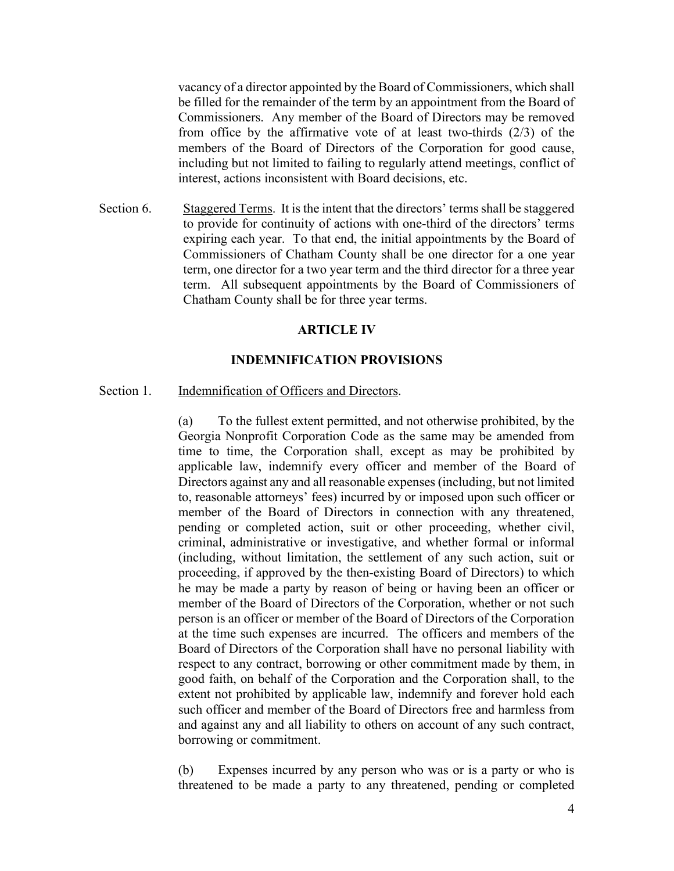vacancy of a director appointed by the Board of Commissioners, which shall be filled for the remainder of the term by an appointment from the Board of Commissioners. Any member of the Board of Directors may be removed from office by the affirmative vote of at least two-thirds (2/3) of the members of the Board of Directors of the Corporation for good cause, including but not limited to failing to regularly attend meetings, conflict of interest, actions inconsistent with Board decisions, etc.

Section 6. Staggered Terms. It is the intent that the directors' terms shall be staggered to provide for continuity of actions with one-third of the directors' terms expiring each year. To that end, the initial appointments by the Board of Commissioners of Chatham County shall be one director for a one year term, one director for a two year term and the third director for a three year term. All subsequent appointments by the Board of Commissioners of Chatham County shall be for three year terms.

#### **ARTICLE IV**

#### **INDEMNIFICATION PROVISIONS**

#### Section 1. Indemnification of Officers and Directors.

(a) To the fullest extent permitted, and not otherwise prohibited, by the Georgia Nonprofit Corporation Code as the same may be amended from time to time, the Corporation shall, except as may be prohibited by applicable law, indemnify every officer and member of the Board of Directors against any and all reasonable expenses (including, but not limited to, reasonable attorneys' fees) incurred by or imposed upon such officer or member of the Board of Directors in connection with any threatened, pending or completed action, suit or other proceeding, whether civil, criminal, administrative or investigative, and whether formal or informal (including, without limitation, the settlement of any such action, suit or proceeding, if approved by the then-existing Board of Directors) to which he may be made a party by reason of being or having been an officer or member of the Board of Directors of the Corporation, whether or not such person is an officer or member of the Board of Directors of the Corporation at the time such expenses are incurred. The officers and members of the Board of Directors of the Corporation shall have no personal liability with respect to any contract, borrowing or other commitment made by them, in good faith, on behalf of the Corporation and the Corporation shall, to the extent not prohibited by applicable law, indemnify and forever hold each such officer and member of the Board of Directors free and harmless from and against any and all liability to others on account of any such contract, borrowing or commitment.

(b) Expenses incurred by any person who was or is a party or who is threatened to be made a party to any threatened, pending or completed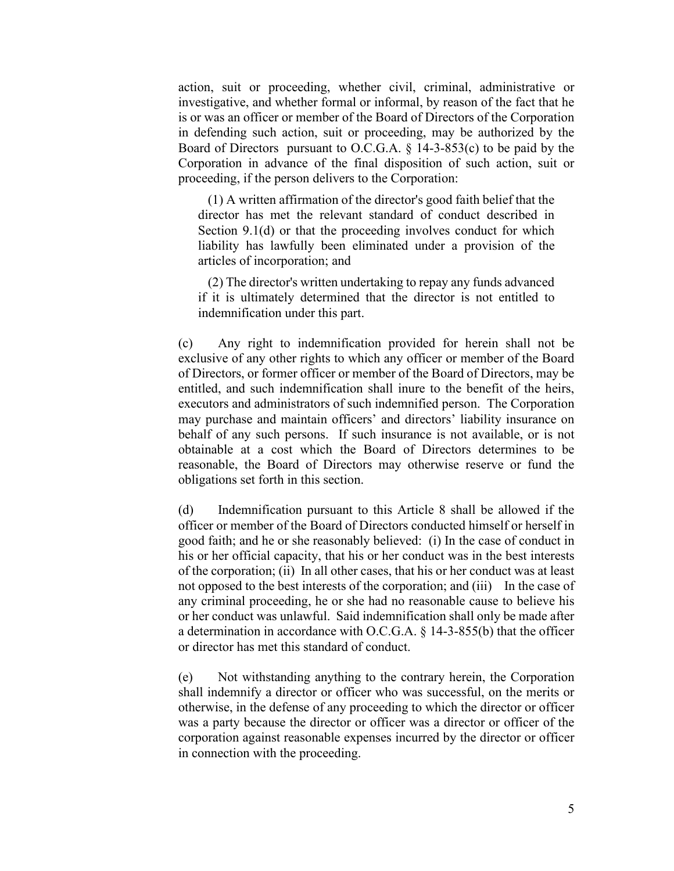action, suit or proceeding, whether civil, criminal, administrative or investigative, and whether formal or informal, by reason of the fact that he is or was an officer or member of the Board of Directors of the Corporation in defending such action, suit or proceeding, may be authorized by the Board of Directors pursuant to O.C.G.A. § 14-3-853(c) to be paid by the Corporation in advance of the final disposition of such action, suit or proceeding, if the person delivers to the Corporation:

 (1) A written affirmation of the director's good faith belief that the director has met the relevant standard of conduct described in Section 9.1(d) or that the proceeding involves conduct for which liability has lawfully been eliminated under a provision of the articles of incorporation; and

 (2) The director's written undertaking to repay any funds advanced if it is ultimately determined that the director is not entitled to indemnification under this part.

(c) Any right to indemnification provided for herein shall not be exclusive of any other rights to which any officer or member of the Board of Directors, or former officer or member of the Board of Directors, may be entitled, and such indemnification shall inure to the benefit of the heirs, executors and administrators of such indemnified person. The Corporation may purchase and maintain officers' and directors' liability insurance on behalf of any such persons. If such insurance is not available, or is not obtainable at a cost which the Board of Directors determines to be reasonable, the Board of Directors may otherwise reserve or fund the obligations set forth in this section.

(d) Indemnification pursuant to this Article 8 shall be allowed if the officer or member of the Board of Directors conducted himself or herself in good faith; and he or she reasonably believed: (i) In the case of conduct in his or her official capacity, that his or her conduct was in the best interests of the corporation; (ii) In all other cases, that his or her conduct was at least not opposed to the best interests of the corporation; and (iii) In the case of any criminal proceeding, he or she had no reasonable cause to believe his or her conduct was unlawful. Said indemnification shall only be made after a determination in accordance with O.C.G.A. § 14-3-855(b) that the officer or director has met this standard of conduct.

(e) Not withstanding anything to the contrary herein, the Corporation shall indemnify a director or officer who was successful, on the merits or otherwise, in the defense of any proceeding to which the director or officer was a party because the director or officer was a director or officer of the corporation against reasonable expenses incurred by the director or officer in connection with the proceeding.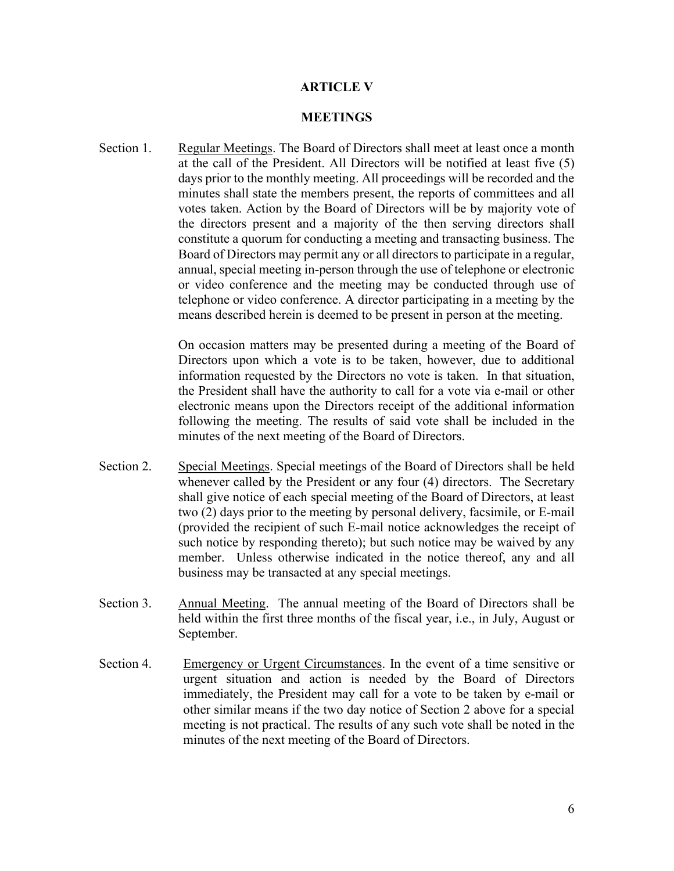#### **ARTICLE V**

#### **MEETINGS**

Section 1. Regular Meetings. The Board of Directors shall meet at least once a month at the call of the President. All Directors will be notified at least five (5) days prior to the monthly meeting. All proceedings will be recorded and the minutes shall state the members present, the reports of committees and all votes taken. Action by the Board of Directors will be by majority vote of the directors present and a majority of the then serving directors shall constitute a quorum for conducting a meeting and transacting business. The Board of Directors may permit any or all directors to participate in a regular, annual, special meeting in-person through the use of telephone or electronic or video conference and the meeting may be conducted through use of telephone or video conference. A director participating in a meeting by the means described herein is deemed to be present in person at the meeting.

> On occasion matters may be presented during a meeting of the Board of Directors upon which a vote is to be taken, however, due to additional information requested by the Directors no vote is taken. In that situation, the President shall have the authority to call for a vote via e-mail or other electronic means upon the Directors receipt of the additional information following the meeting. The results of said vote shall be included in the minutes of the next meeting of the Board of Directors.

- Section 2. Special Meetings. Special meetings of the Board of Directors shall be held whenever called by the President or any four (4) directors. The Secretary shall give notice of each special meeting of the Board of Directors, at least two (2) days prior to the meeting by personal delivery, facsimile, or E-mail (provided the recipient of such E-mail notice acknowledges the receipt of such notice by responding thereto); but such notice may be waived by any member. Unless otherwise indicated in the notice thereof, any and all business may be transacted at any special meetings.
- Section 3. Annual Meeting. The annual meeting of the Board of Directors shall be held within the first three months of the fiscal year, i.e., in July, August or September.
- Section 4. Emergency or Urgent Circumstances. In the event of a time sensitive or urgent situation and action is needed by the Board of Directors immediately, the President may call for a vote to be taken by e-mail or other similar means if the two day notice of Section 2 above for a special meeting is not practical. The results of any such vote shall be noted in the minutes of the next meeting of the Board of Directors.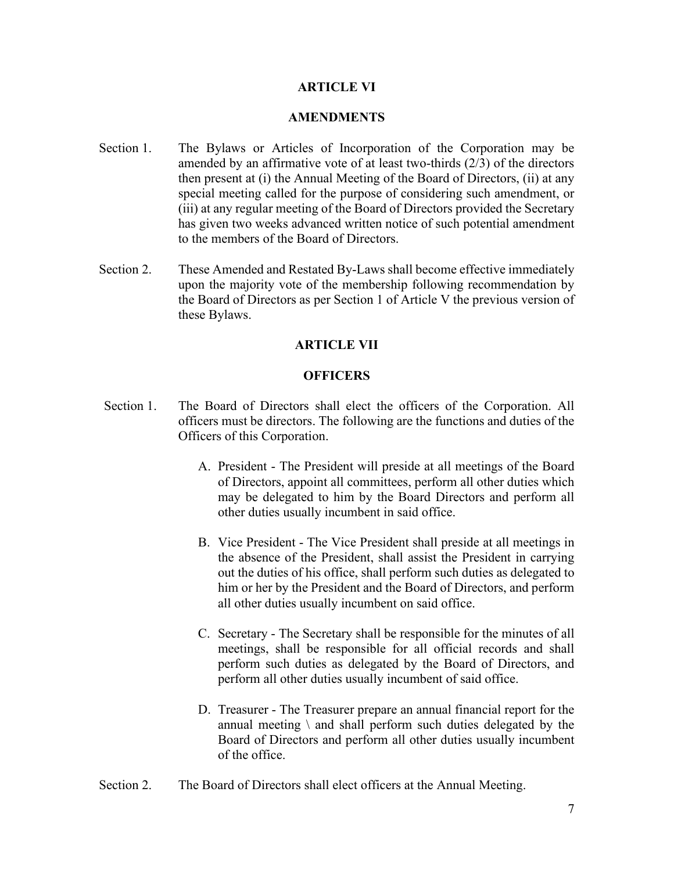### **ARTICLE VI**

#### **AMENDMENTS**

- Section 1. The Bylaws or Articles of Incorporation of the Corporation may be amended by an affirmative vote of at least two-thirds (2/3) of the directors then present at (i) the Annual Meeting of the Board of Directors, (ii) at any special meeting called for the purpose of considering such amendment, or (iii) at any regular meeting of the Board of Directors provided the Secretary has given two weeks advanced written notice of such potential amendment to the members of the Board of Directors.
- Section 2. These Amended and Restated By-Laws shall become effective immediately upon the majority vote of the membership following recommendation by the Board of Directors as per Section 1 of Article V the previous version of these Bylaws.

## **ARTICLE VII**

### **OFFICERS**

- Section 1. The Board of Directors shall elect the officers of the Corporation. All officers must be directors. The following are the functions and duties of the Officers of this Corporation.
	- A. President The President will preside at all meetings of the Board of Directors, appoint all committees, perform all other duties which may be delegated to him by the Board Directors and perform all other duties usually incumbent in said office.
	- B. Vice President The Vice President shall preside at all meetings in the absence of the President, shall assist the President in carrying out the duties of his office, shall perform such duties as delegated to him or her by the President and the Board of Directors, and perform all other duties usually incumbent on said office.
	- C. Secretary The Secretary shall be responsible for the minutes of all meetings, shall be responsible for all official records and shall perform such duties as delegated by the Board of Directors, and perform all other duties usually incumbent of said office.
	- D. Treasurer The Treasurer prepare an annual financial report for the annual meeting  $\setminus$  and shall perform such duties delegated by the Board of Directors and perform all other duties usually incumbent of the office.
- Section 2. The Board of Directors shall elect officers at the Annual Meeting.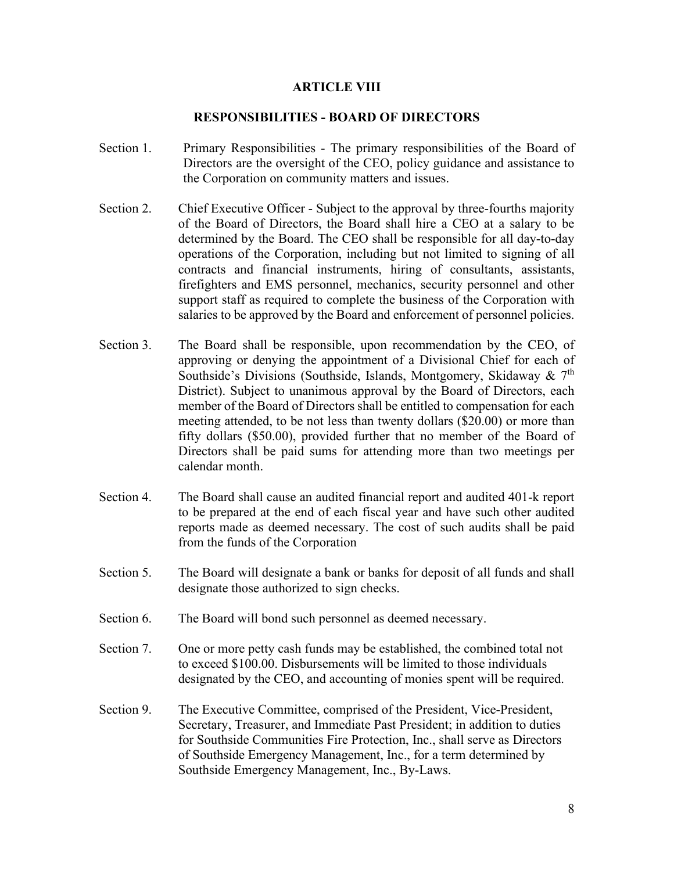### **ARTICLE VIII**

### **RESPONSIBILITIES - BOARD OF DIRECTORS**

- Section 1. Primary Responsibilities The primary responsibilities of the Board of Directors are the oversight of the CEO, policy guidance and assistance to the Corporation on community matters and issues.
- Section 2. Chief Executive Officer Subject to the approval by three-fourths majority of the Board of Directors, the Board shall hire a CEO at a salary to be determined by the Board. The CEO shall be responsible for all day-to-day operations of the Corporation, including but not limited to signing of all contracts and financial instruments, hiring of consultants, assistants, firefighters and EMS personnel, mechanics, security personnel and other support staff as required to complete the business of the Corporation with salaries to be approved by the Board and enforcement of personnel policies.
- Section 3. The Board shall be responsible, upon recommendation by the CEO, of approving or denying the appointment of a Divisional Chief for each of Southside's Divisions (Southside, Islands, Montgomery, Skidaway &  $7<sup>th</sup>$ District). Subject to unanimous approval by the Board of Directors, each member of the Board of Directors shall be entitled to compensation for each meeting attended, to be not less than twenty dollars (\$20.00) or more than fifty dollars (\$50.00), provided further that no member of the Board of Directors shall be paid sums for attending more than two meetings per calendar month.
- Section 4. The Board shall cause an audited financial report and audited 401-k report to be prepared at the end of each fiscal year and have such other audited reports made as deemed necessary. The cost of such audits shall be paid from the funds of the Corporation
- Section 5. The Board will designate a bank or banks for deposit of all funds and shall designate those authorized to sign checks.
- Section 6. The Board will bond such personnel as deemed necessary.
- Section 7. One or more petty cash funds may be established, the combined total not to exceed \$100.00. Disbursements will be limited to those individuals designated by the CEO, and accounting of monies spent will be required.
- Section 9. The Executive Committee, comprised of the President, Vice-President, Secretary, Treasurer, and Immediate Past President; in addition to duties for Southside Communities Fire Protection, Inc., shall serve as Directors of Southside Emergency Management, Inc., for a term determined by Southside Emergency Management, Inc., By-Laws.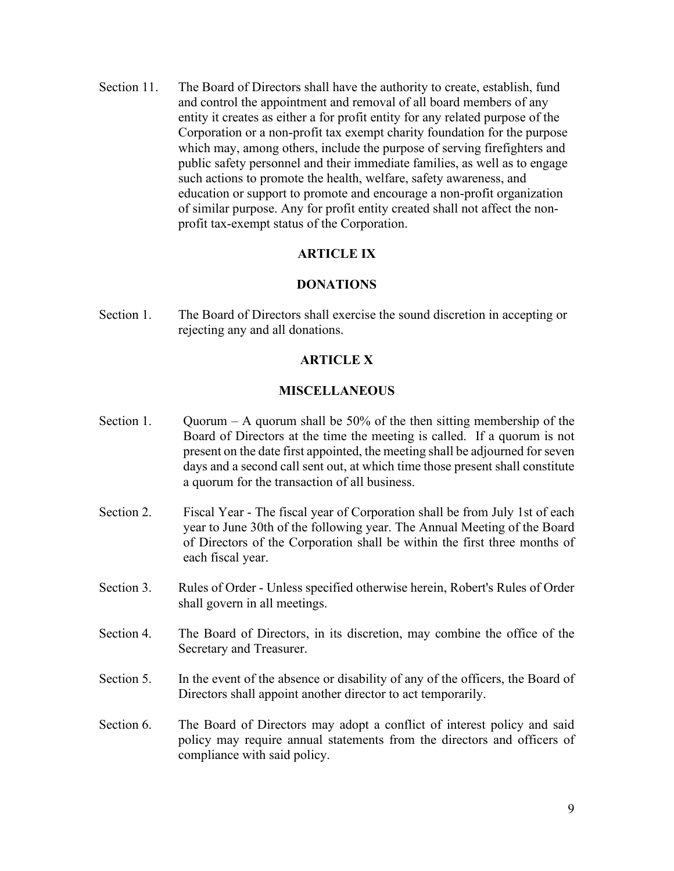Section 11. The Board of Directors shall have the authority to create, establish, fund and control the appointment and removal of all board members of any entity it creates as either a for profit entity for any related purpose of the Corporation or a non-profit tax exempt charity foundation for the purpose which may, among others, include the purpose of serving firefighters and public safety personnel and their immediate families, as well as to engage such actions to promote the health, welfare, safety awareness, and education or support to promote and encourage a non-profit organization of similar purpose. Any for profit entity created shall not affect the nonprofit tax-exempt status of the Corporation.

# **ARTICLE IX**

#### **DONATIONS**

Section 1. The Board of Directors shall exercise the sound discretion in accepting or rejecting any and all donations.

#### **ARTICLE X**

#### **MISCELLANEOUS**

- Section 1. Quorum A quorum shall be  $50\%$  of the then sitting membership of the Board of Directors at the time the meeting is called. If a quorum is not present on the date first appointed, the meeting shall be adjourned for seven days and a second call sent out, at which time those present shall constitute a quorum for the transaction of all business.
- Section 2. Fiscal Year The fiscal year of Corporation shall be from July 1st of each year to June 30th of the following year. The Annual Meeting of the Board of Directors of the Corporation shall be within the first three months of each fiscal year.
- Section 3. Rules of Order Unless specified otherwise herein, Robert's Rules of Order shall govern in all meetings.
- Section 4. The Board of Directors, in its discretion, may combine the office of the Secretary and Treasurer.
- Section 5. In the event of the absence or disability of any of the officers, the Board of Directors shall appoint another director to act temporarily.
- Section 6. The Board of Directors may adopt a conflict of interest policy and said policy may require annual statements from the directors and officers of compliance with said policy.